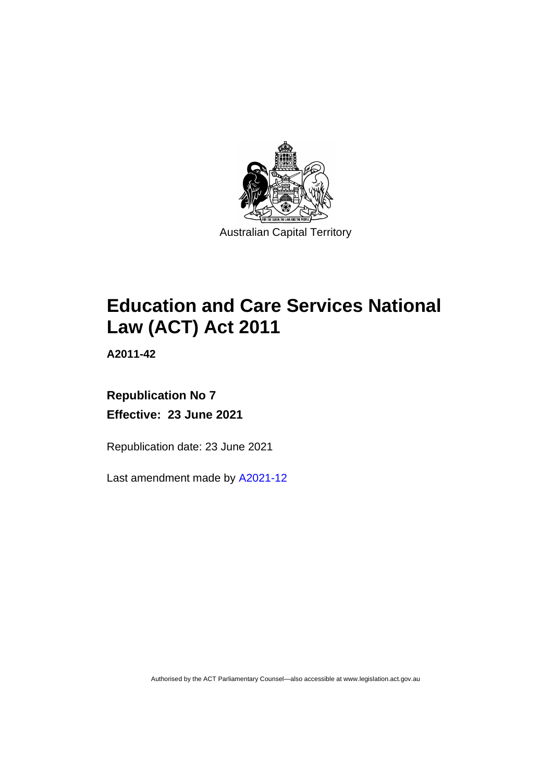

# **Education and Care Services National Law (ACT) Act 2011**

**A2011-42**

# **Republication No 7 Effective: 23 June 2021**

Republication date: 23 June 2021

Last amendment made by [A2021-12](http://www.legislation.act.gov.au/a/2021-12/)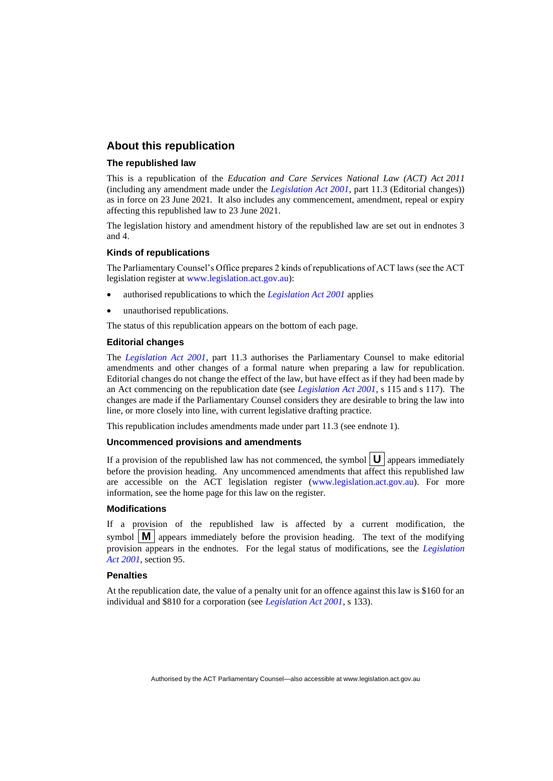### **About this republication**

#### **The republished law**

This is a republication of the *Education and Care Services National Law (ACT) Act 2011* (including any amendment made under the *[Legislation Act 2001](http://www.legislation.act.gov.au/a/2001-14)*, part 11.3 (Editorial changes)) as in force on 23 June 2021*.* It also includes any commencement, amendment, repeal or expiry affecting this republished law to 23 June 2021.

The legislation history and amendment history of the republished law are set out in endnotes 3 and 4.

#### **Kinds of republications**

The Parliamentary Counsel's Office prepares 2 kinds of republications of ACT laws (see the ACT legislation register at [www.legislation.act.gov.au\)](http://www.legislation.act.gov.au/):

- authorised republications to which the *[Legislation Act 2001](http://www.legislation.act.gov.au/a/2001-14)* applies
- unauthorised republications.

The status of this republication appears on the bottom of each page.

#### **Editorial changes**

The *[Legislation Act 2001](http://www.legislation.act.gov.au/a/2001-14)*, part 11.3 authorises the Parliamentary Counsel to make editorial amendments and other changes of a formal nature when preparing a law for republication. Editorial changes do not change the effect of the law, but have effect as if they had been made by an Act commencing on the republication date (see *[Legislation Act 2001](http://www.legislation.act.gov.au/a/2001-14)*, s 115 and s 117). The changes are made if the Parliamentary Counsel considers they are desirable to bring the law into line, or more closely into line, with current legislative drafting practice.

This republication includes amendments made under part 11.3 (see endnote 1).

#### **Uncommenced provisions and amendments**

If a provision of the republished law has not commenced, the symbol  $\mathbf{U}$  appears immediately before the provision heading. Any uncommenced amendments that affect this republished law are accessible on the ACT legislation register [\(www.legislation.act.gov.au\)](http://www.legislation.act.gov.au/). For more information, see the home page for this law on the register.

#### **Modifications**

If a provision of the republished law is affected by a current modification, the symbol  $\mathbf{M}$  appears immediately before the provision heading. The text of the modifying provision appears in the endnotes. For the legal status of modifications, see the *[Legislation](http://www.legislation.act.gov.au/a/2001-14)  Act [2001](http://www.legislation.act.gov.au/a/2001-14)*, section 95.

#### **Penalties**

At the republication date, the value of a penalty unit for an offence against this law is \$160 for an individual and \$810 for a corporation (see *[Legislation Act 2001](http://www.legislation.act.gov.au/a/2001-14)*, s 133).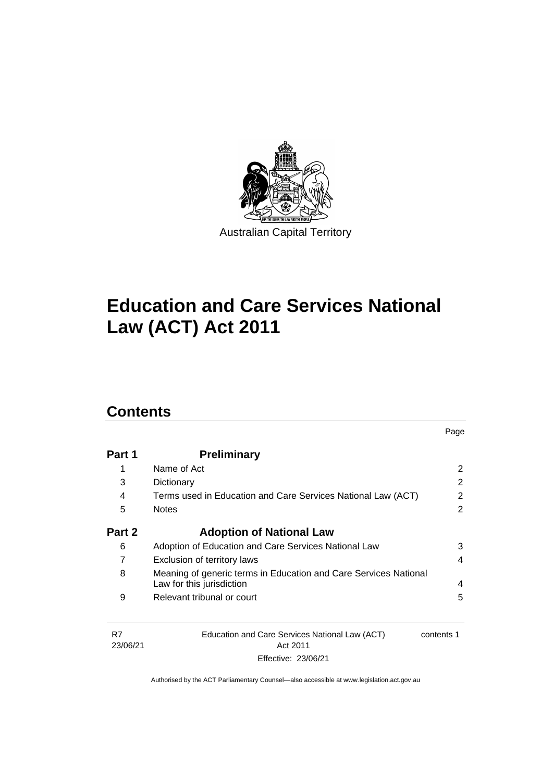

# **Education and Care Services National Law (ACT) Act 2011**

# **Contents**

| Part 1 | <b>Preliminary</b>                                               |                       |
|--------|------------------------------------------------------------------|-----------------------|
| 1      | Name of Act                                                      | $\mathbf{2}^{\prime}$ |
| 3      | Dictionary                                                       | 2                     |
| 4      | Terms used in Education and Care Services National Law (ACT)     | $\overline{2}$        |
| 5      | <b>Notes</b>                                                     | 2                     |
| Part 2 | <b>Adoption of National Law</b>                                  |                       |
| 6      | Adoption of Education and Care Services National Law             | 3                     |
|        | Exclusion of territory laws                                      | 4                     |
| 8      | Meaning of generic terms in Education and Care Services National |                       |
|        | Law for this jurisdiction                                        | 4                     |
| 9      | Relevant tribunal or court                                       | 5                     |

Page

| - R7     | Education and Care Services National Law (ACT) | contents 1 |
|----------|------------------------------------------------|------------|
| 23/06/21 | Act 2011                                       |            |
|          | Effective: 23/06/21                            |            |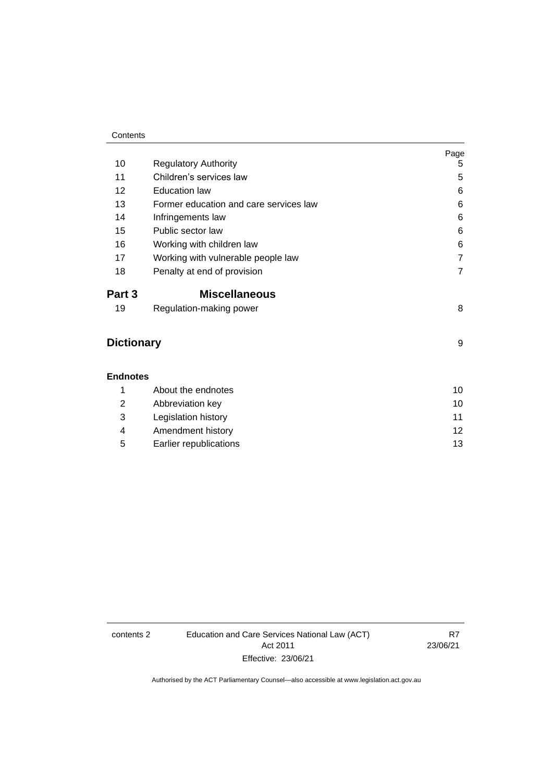#### **Contents**

|                   |                                        | Page           |
|-------------------|----------------------------------------|----------------|
| 10                | <b>Regulatory Authority</b>            | 5              |
| 11                | Children's services law                | 5              |
| 12                | <b>Education law</b>                   | 6              |
| 13                | Former education and care services law | 6              |
| 14                | Infringements law                      | 6              |
| 15                | Public sector law                      | 6              |
| 16                | Working with children law              | 6              |
| 17                | Working with vulnerable people law     | $\overline{7}$ |
| 18                | Penalty at end of provision            | 7              |
| Part 3            | <b>Miscellaneous</b>                   |                |
| 19                | Regulation-making power                | 8              |
| <b>Dictionary</b> | 9                                      |                |
| <b>Endnotes</b>   |                                        |                |
| 1                 | About the endnotes                     | 10             |
| 2                 | Abbreviation key                       | 10             |
| 3                 | Legislation history                    | 11             |
| 4                 | Amendment history                      | 12             |

5 [Earlier republications](#page-16-0) 13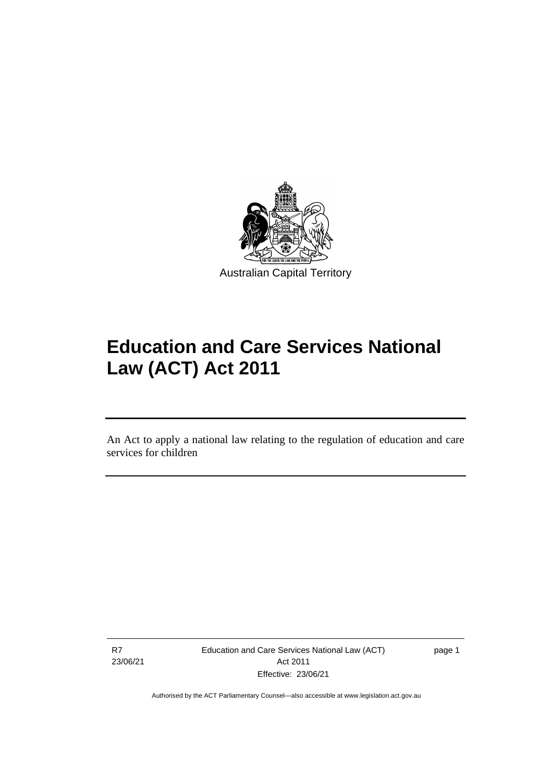

# **Education and Care Services National Law (ACT) Act 2011**

An Act to apply a national law relating to the regulation of education and care services for children

R7 23/06/21

֡֡֡

Education and Care Services National Law (ACT) Act 2011 Effective: 23/06/21

page 1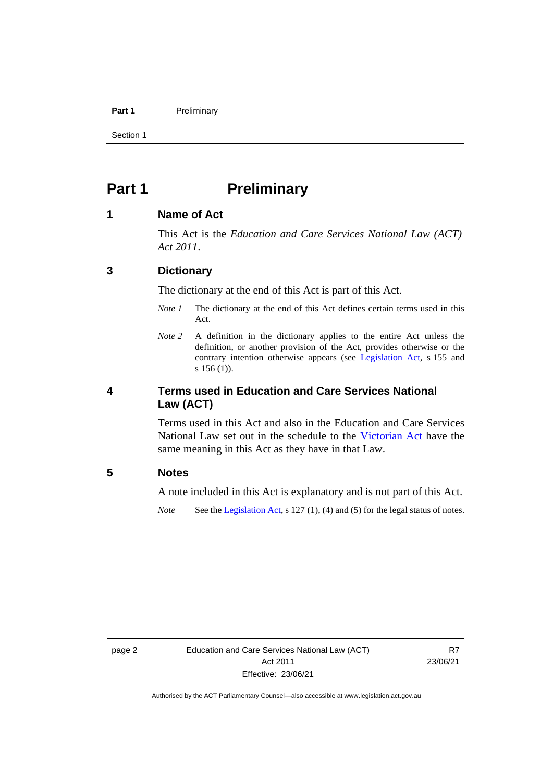#### **Part 1** Preliminary

Section 1

# <span id="page-5-0"></span>**Part 1 Preliminary**

### <span id="page-5-1"></span>**1 Name of Act**

This Act is the *Education and Care Services National Law (ACT) Act 2011*.

## <span id="page-5-2"></span>**3 Dictionary**

The dictionary at the end of this Act is part of this Act.

- *Note 1* The dictionary at the end of this Act defines certain terms used in this Act.
- *Note 2* A definition in the dictionary applies to the entire Act unless the definition, or another provision of the Act, provides otherwise or the contrary intention otherwise appears (see [Legislation Act,](http://www.legislation.act.gov.au/a/2001-14) s 155 and s 156 (1)).

# <span id="page-5-3"></span>**4 Terms used in Education and Care Services National Law (ACT)**

Terms used in this Act and also in the Education and Care Services National Law set out in the schedule to the [Victorian Act](http://www.legislation.vic.gov.au/) have the same meaning in this Act as they have in that Law.

## <span id="page-5-4"></span>**5 Notes**

A note included in this Act is explanatory and is not part of this Act.

*Note* See the [Legislation Act,](http://www.legislation.act.gov.au/a/2001-14) s 127 (1), (4) and (5) for the legal status of notes.

R7 23/06/21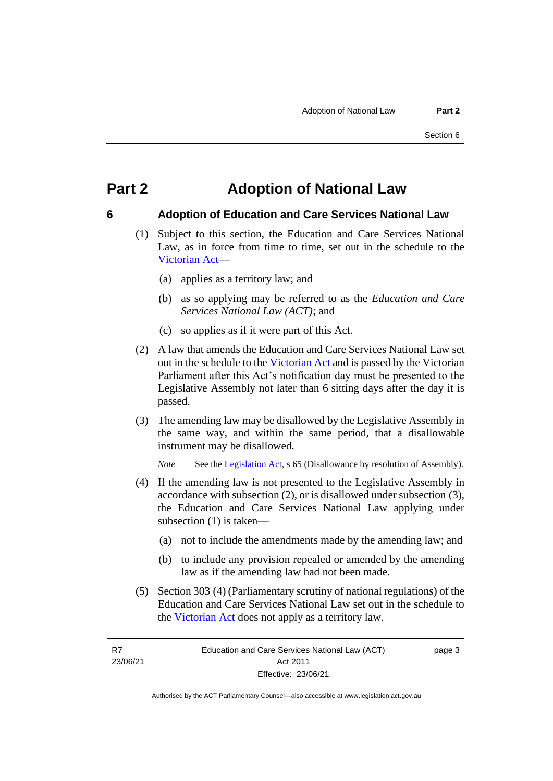# <span id="page-6-0"></span>**Part 2 Adoption of National Law**

### <span id="page-6-1"></span>**6 Adoption of Education and Care Services National Law**

- (1) Subject to this section, the Education and Care Services National Law, as in force from time to time, set out in the schedule to the [Victorian Act—](http://www.legislation.vic.gov.au/)
	- (a) applies as a territory law; and
	- (b) as so applying may be referred to as the *Education and Care Services National Law (ACT)*; and
	- (c) so applies as if it were part of this Act.
- (2) A law that amends the Education and Care Services National Law set out in the schedule to the [Victorian Act](http://www.legislation.vic.gov.au/) and is passed by the Victorian Parliament after this Act's notification day must be presented to the Legislative Assembly not later than 6 sitting days after the day it is passed.
- (3) The amending law may be disallowed by the Legislative Assembly in the same way, and within the same period, that a disallowable instrument may be disallowed.

*Note* See th[e Legislation Act,](http://www.legislation.act.gov.au/a/2001-14) s 65 (Disallowance by resolution of Assembly).

- (4) If the amending law is not presented to the Legislative Assembly in accordance with subsection (2), or is disallowed under subsection (3), the Education and Care Services National Law applying under subsection (1) is taken—
	- (a) not to include the amendments made by the amending law; and
	- (b) to include any provision repealed or amended by the amending law as if the amending law had not been made.
- (5) Section 303 (4) (Parliamentary scrutiny of national regulations) of the Education and Care Services National Law set out in the schedule to the [Victorian Act](http://www.legislation.vic.gov.au/) does not apply as a territory law.

R7 23/06/21 page 3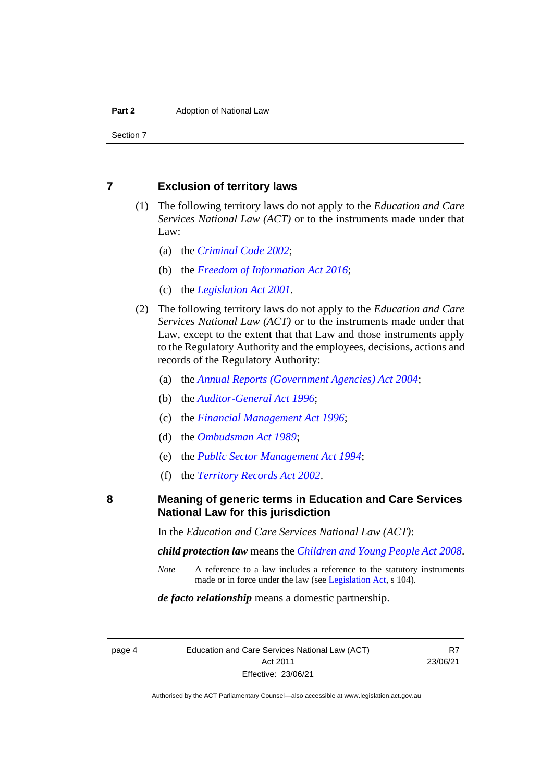Section 7

## <span id="page-7-0"></span>**7 Exclusion of territory laws**

- (1) The following territory laws do not apply to the *Education and Care Services National Law (ACT)* or to the instruments made under that Law:
	- (a) the *[Criminal Code 2002](http://www.legislation.act.gov.au/a/2002-51)*;
	- (b) the *[Freedom of Information Act 2016](http://pcoregister/a/2016-55/default.asp)*;
	- (c) the *[Legislation Act 2001](http://www.legislation.act.gov.au/a/2001-14)*.
- (2) The following territory laws do not apply to the *Education and Care Services National Law (ACT)* or to the instruments made under that Law, except to the extent that that Law and those instruments apply to the Regulatory Authority and the employees, decisions, actions and records of the Regulatory Authority:
	- (a) the *[Annual Reports \(Government Agencies\) Act 2004](http://www.legislation.act.gov.au/a/2004-8)*;
	- (b) the *[Auditor-General Act 1996](http://www.legislation.act.gov.au/a/1996-23)*;
	- (c) the *[Financial Management Act 1996](http://www.legislation.act.gov.au/a/1996-22)*;
	- (d) the *[Ombudsman Act 1989](http://www.legislation.act.gov.au/a/alt_a1989-45co)*;
	- (e) the *[Public Sector Management Act 1994](http://www.legislation.act.gov.au/a/1994-37)*;
	- (f) the *[Territory Records Act 2002](http://www.legislation.act.gov.au/a/2002-18)*.

<span id="page-7-1"></span>**8 Meaning of generic terms in Education and Care Services National Law for this jurisdiction**

In the *Education and Care Services National Law (ACT)*:

*child protection law* means the *[Children and Young People Act](http://www.legislation.act.gov.au/a/2008-19) 2008*.

*Note* A reference to a law includes a reference to the statutory instruments made or in force under the law (see [Legislation Act,](http://www.legislation.act.gov.au/a/2001-14) s 104).

*de facto relationship* means a domestic partnership.

page 4 Education and Care Services National Law (ACT) Act 2011 Effective: 23/06/21

R7 23/06/21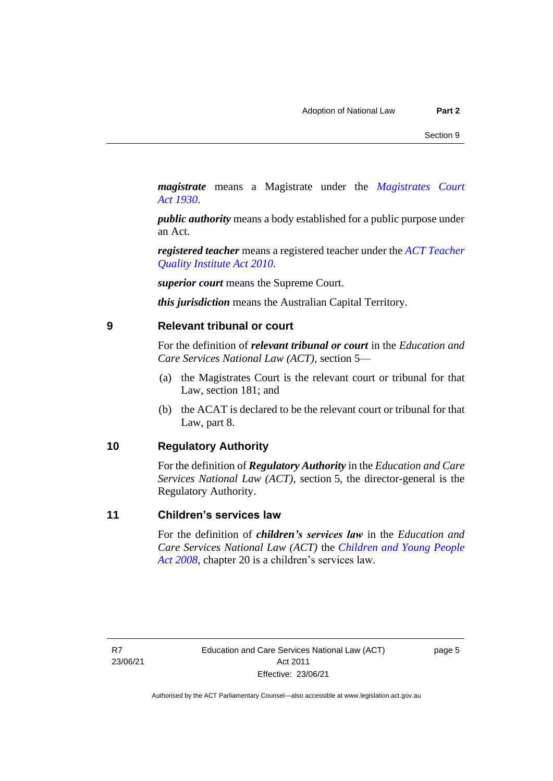*magistrate* means a Magistrate under the *[Magistrates Court](http://www.legislation.act.gov.au/a/1930-21)  Act [1930](http://www.legislation.act.gov.au/a/1930-21)*.

*public authority* means a body established for a public purpose under an Act.

*registered teacher* means a registered teacher under the *[ACT Teacher](http://www.legislation.act.gov.au/a/2010-55)  [Quality Institute Act 2010.](http://www.legislation.act.gov.au/a/2010-55)*

*superior court* means the Supreme Court.

*this jurisdiction* means the Australian Capital Territory.

### <span id="page-8-0"></span>**9 Relevant tribunal or court**

For the definition of *relevant tribunal or court* in the *Education and Care Services National Law (ACT)*, section 5—

- (a) the Magistrates Court is the relevant court or tribunal for that Law, section 181; and
- (b) the ACAT is declared to be the relevant court or tribunal for that Law, part 8.

# <span id="page-8-1"></span>**10 Regulatory Authority**

For the definition of *Regulatory Authority* in the *Education and Care Services National Law (ACT)*, section 5, the director-general is the Regulatory Authority.

# <span id="page-8-2"></span>**11 Children's services law**

For the definition of *children's services law* in the *Education and Care Services National Law (ACT)* the *[Children and Young People](http://www.legislation.act.gov.au/a/2008-19)  [Act 2008](http://www.legislation.act.gov.au/a/2008-19)*, chapter 20 is a children's services law.

R7 23/06/21 page 5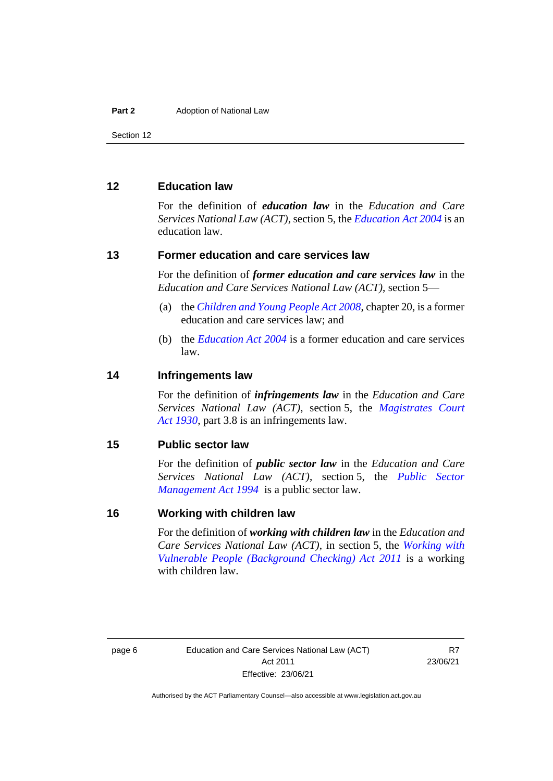Section 12

# <span id="page-9-0"></span>**12 Education law**

For the definition of *education law* in the *Education and Care Services National Law (ACT)*, section 5, the *[Education Act 2004](http://www.legislation.act.gov.au/a/2004-17)* is an education law.

### <span id="page-9-1"></span>**13 Former education and care services law**

For the definition of *former education and care services law* in the *Education and Care Services National Law (ACT)*, section 5—

- (a) the *[Children and Young People Act 2008](http://www.legislation.act.gov.au/a/2008-19)*, chapter 20, is a former education and care services law; and
- (b) the *[Education Act 2004](http://www.legislation.act.gov.au/a/2004-17)* is a former education and care services law.

#### <span id="page-9-2"></span>**14 Infringements law**

For the definition of *infringements law* in the *Education and Care Services National Law (ACT)*, section 5, the *[Magistrates Court](http://www.legislation.act.gov.au/a/1930-21)  Act [1930](http://www.legislation.act.gov.au/a/1930-21)*, part 3.8 is an infringements law.

#### <span id="page-9-3"></span>**15 Public sector law**

For the definition of *public sector law* in the *Education and Care Services National Law (ACT)*, section 5, the *[Public Sector](http://www.legislation.act.gov.au/a/1994-37)  [Management Act 1994](http://www.legislation.act.gov.au/a/1994-37)* is a public sector law.

## <span id="page-9-4"></span>**16 Working with children law**

For the definition of *working with children law* in the *Education and Care Services National Law (ACT)*, in section 5, the *[Working with](http://www.legislation.act.gov.au/a/2011-44)  [Vulnerable People \(Background Checking\) Act 2011](http://www.legislation.act.gov.au/a/2011-44)* is a working with children law.

R<sub>7</sub> 23/06/21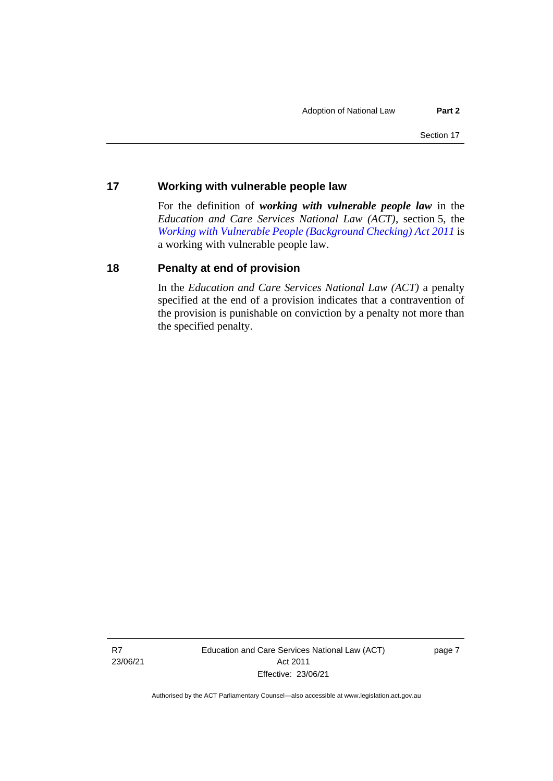## <span id="page-10-0"></span>**17 Working with vulnerable people law**

For the definition of *working with vulnerable people law* in the *Education and Care Services National Law (ACT)*, section 5, the *[Working with Vulnerable People \(Background Checking\) Act 2011](http://www.legislation.act.gov.au/a/2011-44)* is a working with vulnerable people law.

# <span id="page-10-1"></span>**18 Penalty at end of provision**

In the *Education and Care Services National Law (ACT)* a penalty specified at the end of a provision indicates that a contravention of the provision is punishable on conviction by a penalty not more than the specified penalty.

R7 23/06/21 Education and Care Services National Law (ACT) Act 2011 Effective: 23/06/21

page 7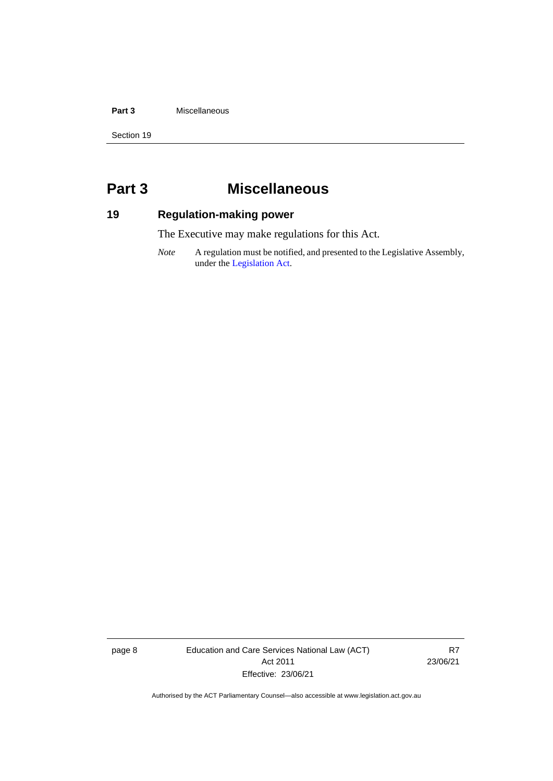#### **Part 3** Miscellaneous

Section 19

# <span id="page-11-0"></span>**Part 3 Miscellaneous**

# <span id="page-11-1"></span>**19 Regulation-making power**

The Executive may make regulations for this Act.

*Note* A regulation must be notified, and presented to the Legislative Assembly, under the [Legislation Act.](http://www.legislation.act.gov.au/a/2001-14)

page 8 Education and Care Services National Law (ACT) Act 2011 Effective: 23/06/21

R7 23/06/21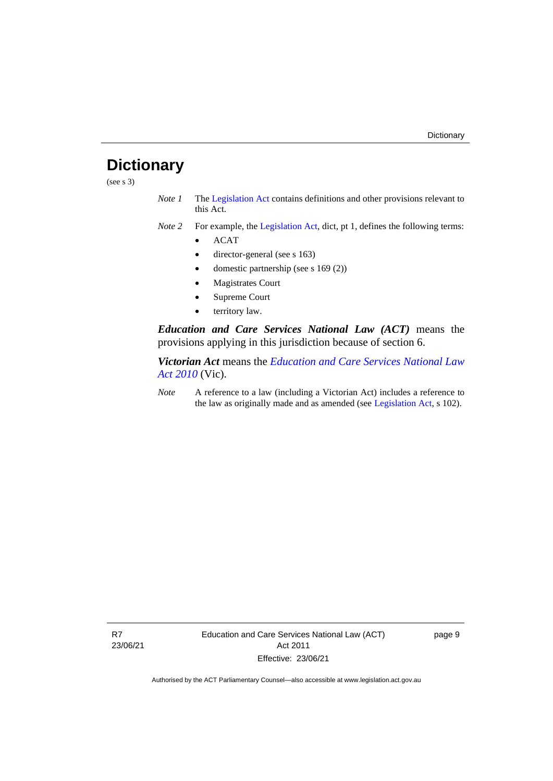# <span id="page-12-0"></span>**Dictionary**

(see s  $3)$ )

- *Note 1* The [Legislation Act](http://www.legislation.act.gov.au/a/2001-14) contains definitions and other provisions relevant to this Act.
- *Note 2* For example, the [Legislation Act,](http://www.legislation.act.gov.au/a/2001-14) dict, pt 1, defines the following terms:
	- ACAT
	- director-general (see s 163)
	- domestic partnership (see s 169 (2))
	- Magistrates Court
	- Supreme Court
	- territory law.

*Education and Care Services National Law (ACT)* means the provisions applying in this jurisdiction because of section 6.

*Victorian Act* means the *[Education and Care Services National Law](http://www.legislation.vic.gov.au/)  [Act 2010](http://www.legislation.vic.gov.au/)* (Vic).

*Note* A reference to a law (including a Victorian Act) includes a reference to the law as originally made and as amended (see [Legislation Act,](http://www.legislation.act.gov.au/a/2001-14) s 102).

page 9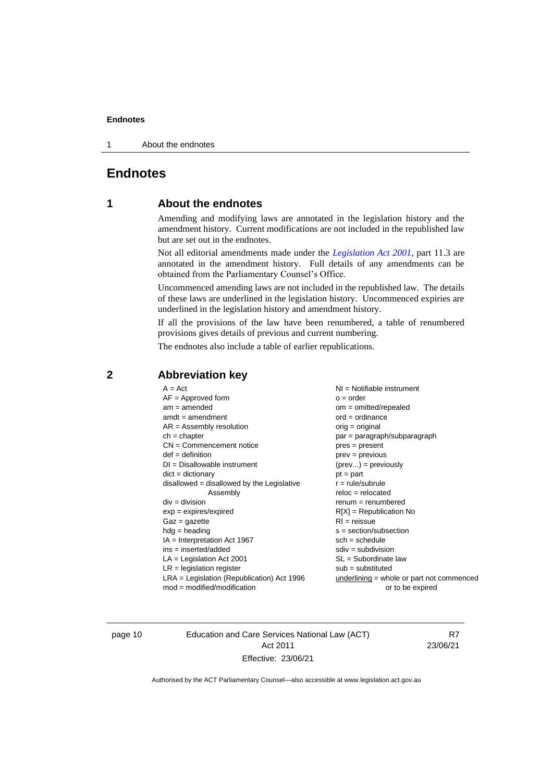1 About the endnotes

# <span id="page-13-1"></span><span id="page-13-0"></span>**Endnotes**

# **1 About the endnotes**

Amending and modifying laws are annotated in the legislation history and the amendment history. Current modifications are not included in the republished law but are set out in the endnotes.

Not all editorial amendments made under the *[Legislation Act 2001](http://www.legislation.act.gov.au/a/2001-14)*, part 11.3 are annotated in the amendment history. Full details of any amendments can be obtained from the Parliamentary Counsel's Office.

Uncommenced amending laws are not included in the republished law. The details of these laws are underlined in the legislation history. Uncommenced expiries are underlined in the legislation history and amendment history.

If all the provisions of the law have been renumbered, a table of renumbered provisions gives details of previous and current numbering.

The endnotes also include a table of earlier republications.

| $A = Act$<br>$AF =$ Approved form<br>$am = amended$<br>$amdt = amendment$<br>$AR = Assembly resolution$<br>$ch = chapter$<br>$CN =$ Commencement notice<br>$def = definition$<br>$DI = Disallowable instrument$<br>$dict = dictionary$<br>$disallowed = disallowed by the Legislative$<br>Assembly<br>$div = division$<br>$exp = expires/expired$<br>$Gaz = gazette$<br>$h dq =$ heading<br>$IA = Interpretation Act 1967$<br>$ins = inserted/added$ | $NI =$ Notifiable instrument<br>$o = order$<br>$om = omitted/repealed$<br>$ord = ordinance$<br>$orig = original$<br>par = paragraph/subparagraph<br>$pres = present$<br>$prev = previous$<br>$(\text{prev}) = \text{previously}$<br>$pt = part$<br>$r = rule/subrule$<br>$reloc = relocated$<br>$renum = renumbered$<br>$R[X]$ = Republication No<br>$RI = reissue$<br>$s = section/subsection$<br>$sch = schedule$<br>$sdiv = subdivision$<br>$SL = Subordinate$ law |
|------------------------------------------------------------------------------------------------------------------------------------------------------------------------------------------------------------------------------------------------------------------------------------------------------------------------------------------------------------------------------------------------------------------------------------------------------|-----------------------------------------------------------------------------------------------------------------------------------------------------------------------------------------------------------------------------------------------------------------------------------------------------------------------------------------------------------------------------------------------------------------------------------------------------------------------|
|                                                                                                                                                                                                                                                                                                                                                                                                                                                      |                                                                                                                                                                                                                                                                                                                                                                                                                                                                       |
| $LA =$ Legislation Act 2001<br>$LR =$ legislation register<br>$LRA =$ Legislation (Republication) Act 1996<br>$mod = modified/modification$                                                                                                                                                                                                                                                                                                          | $sub =$ substituted<br>$underlining = whole or part not commenced$<br>or to be expired                                                                                                                                                                                                                                                                                                                                                                                |

# <span id="page-13-2"></span>**2 Abbreviation key**

page 10 Education and Care Services National Law (ACT) Act 2011 Effective: 23/06/21

R7 23/06/21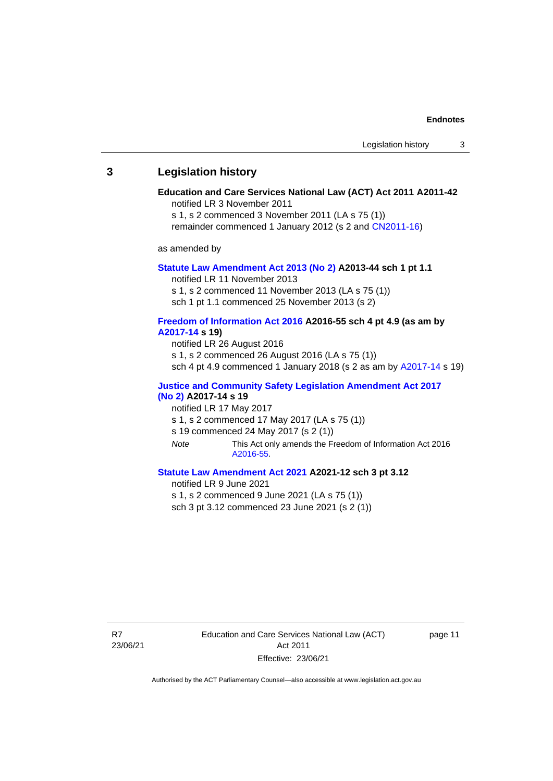#### <span id="page-14-0"></span>**3 Legislation history**

# **Education and Care Services National Law (ACT) Act 2011 A2011-42**

notified LR 3 November 2011

s 1, s 2 commenced 3 November 2011 (LA s 75 (1)) remainder commenced 1 January 2012 (s 2 and [CN2011-16\)](http://www.legislation.act.gov.au/cn/2011-16/default.asp)

as amended by

#### **[Statute Law Amendment Act 2013 \(No](http://www.legislation.act.gov.au/a/2013-44) 2) A2013-44 sch 1 pt 1.1**

notified LR 11 November 2013

s 1, s 2 commenced 11 November 2013 (LA s 75 (1))

sch 1 pt 1.1 commenced 25 November 2013 (s 2)

#### **[Freedom of Information Act 2016](http://www.legislation.act.gov.au/a/2016-55/default.asp) A2016-55 sch 4 pt 4.9 (as am by [A2017-14](http://www.legislation.act.gov.au/a/2017-14) s 19)**

notified LR 26 August 2016

s 1, s 2 commenced 26 August 2016 (LA s 75 (1))

sch 4 pt 4.9 commenced 1 January 2018 (s 2 as am by [A2017-14](http://www.legislation.act.gov.au/a/2017-14) s 19)

#### **[Justice and Community Safety Legislation Amendment Act 2017](http://www.legislation.act.gov.au/a/2017-14/default.asp)  [\(No](http://www.legislation.act.gov.au/a/2017-14/default.asp) 2) A2017-14 s 19**

#### notified LR 17 May 2017

- s 1, s 2 commenced 17 May 2017 (LA s 75 (1))
- s 19 commenced 24 May 2017 (s 2 (1))
- *Note* This Act only amends the Freedom of Information Act 2016 [A2016-55.](http://www.legislation.act.gov.au/a/2016-55/default.asp)

#### **[Statute Law Amendment Act 2021](http://www.legislation.act.gov.au/a/2021-12/) A2021-12 sch 3 pt 3.12**

notified LR 9 June 2021

s 1, s 2 commenced 9 June 2021 (LA s 75 (1))

sch 3 pt 3.12 commenced 23 June 2021 (s 2 (1))

R7 23/06/21 Education and Care Services National Law (ACT) Act 2011 Effective: 23/06/21

page 11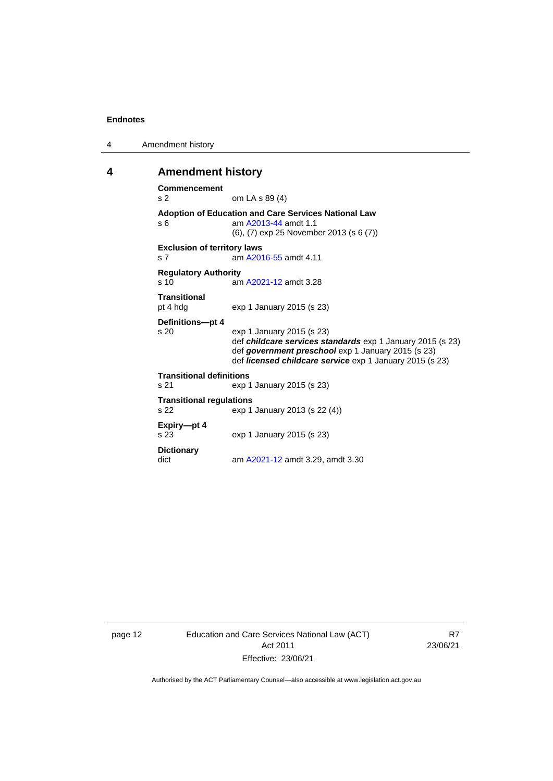4 Amendment history

### <span id="page-15-0"></span>**4 Amendment history**

```
Commencement
s 2 om LA s 89 (4)
Adoption of Education and Care Services National Law
s 6  A2013-44 amdt 1.1
                (6), (7) exp 25 November 2013 (s 6 (7))
Exclusion of territory laws
s 7 am A2016-55 amdt 4.11
Regulatory Authority
s 10 am A2021-12 amdt 3.28
Transitional
pt 4 hdg exp 1 January 2015 (s 23)
Definitions—pt 4
                exp 1 January 2015 (s 23)
                def childcare services standards exp 1 January 2015 (s 23)
                def government preschool exp 1 January 2015 (s 23)
                def licensed childcare service exp 1 January 2015 (s 23)
Transitional definitions
s 21 exp 1 January 2015 (s 23)
Transitional regulations<br>s 22 exp 1
                exp 1 January 2013 (s 22 (4))
Expiry—pt 4
s 23 exp 1 January 2015 (s 23)
Dictionary
dict am A2021-12 amdt 3.29, amdt 3.30
```
page 12 Education and Care Services National Law (ACT) Act 2011 Effective: 23/06/21

R7 23/06/21